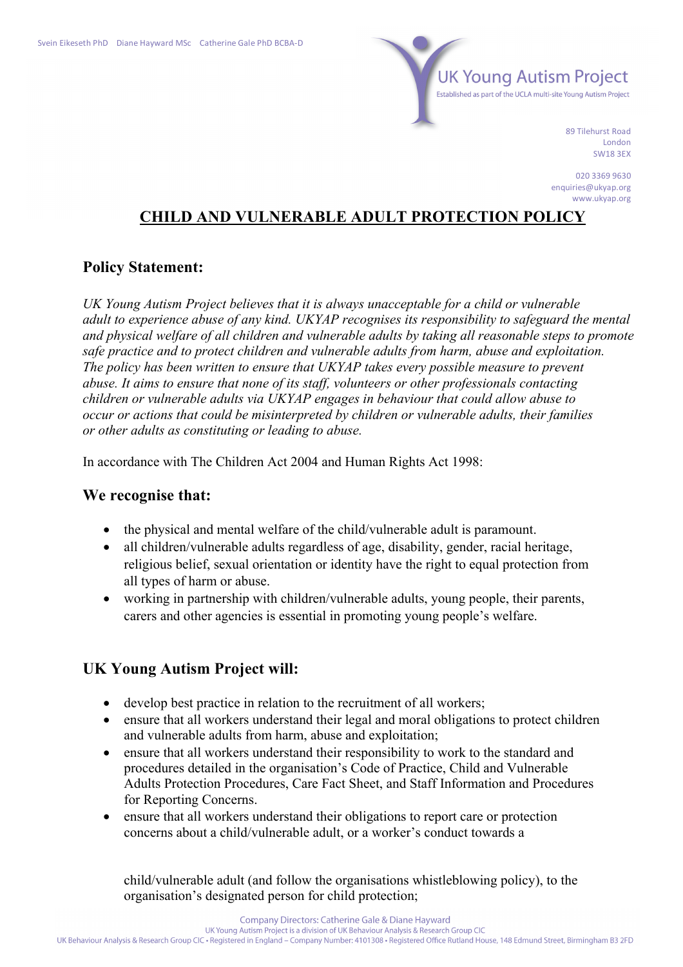

89 Tilehurst Road London SW18 3EX

020 3369 9630 enquiries@ukyap.org www.ukyap.org

# **CHILD AND VULNERABLE ADULT PROTECTION POLICY**

### **Policy Statement:**

*UK Young Autism Project believes that it is always unacceptable for a child or vulnerable adult to experience abuse of any kind. UKYAP recognises its responsibility to safeguard the mental and physical welfare of all children and vulnerable adults by taking all reasonable steps to promote safe practice and to protect children and vulnerable adults from harm, abuse and exploitation. The policy has been written to ensure that UKYAP takes every possible measure to prevent abuse. It aims to ensure that none of its staff, volunteers or other professionals contacting children or vulnerable adults via UKYAP engages in behaviour that could allow abuse to occur or actions that could be misinterpreted by children or vulnerable adults, their families or other adults as constituting or leading to abuse.*

In accordance with The Children Act 2004 and Human Rights Act 1998:

#### **We recognise that:**

- the physical and mental welfare of the child/vulnerable adult is paramount.
- all children/vulnerable adults regardless of age, disability, gender, racial heritage, religious belief, sexual orientation or identity have the right to equal protection from all types of harm or abuse.
- working in partnership with children/vulnerable adults, young people, their parents, carers and other agencies is essential in promoting young people's welfare.

## **UK Young Autism Project will:**

- develop best practice in relation to the recruitment of all workers;
- ensure that all workers understand their legal and moral obligations to protect children and vulnerable adults from harm, abuse and exploitation;
- ensure that all workers understand their responsibility to work to the standard and procedures detailed in the organisation's Code of Practice, Child and Vulnerable Adults Protection Procedures, Care Fact Sheet, and Staff Information and Procedures for Reporting Concerns.
- ensure that all workers understand their obligations to report care or protection concerns about a child/vulnerable adult, or a worker's conduct towards a

child/vulnerable adult (and follow the organisations whistleblowing policy), to the organisation's designated person for child protection;